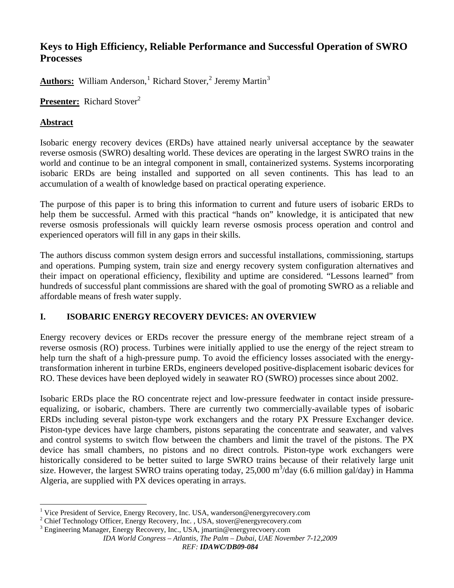# **Keys to High Efficiency, Reliable Performance and Successful Operation of SWRO Processes**

Authors: William Anderson,<sup>[1](#page-0-0)</sup> Richard Stover,<sup>[2](#page-0-1)</sup> Jeremy Martin<sup>[3](#page-0-2)</sup>

**Presenter:** Richard Stover<sup>2</sup>

### **Abstract**

Isobaric energy recovery devices (ERDs) have attained nearly universal acceptance by the seawater reverse osmosis (SWRO) desalting world. These devices are operating in the largest SWRO trains in the world and continue to be an integral component in small, containerized systems. Systems incorporating isobaric ERDs are being installed and supported on all seven continents. This has lead to an accumulation of a wealth of knowledge based on practical operating experience.

The purpose of this paper is to bring this information to current and future users of isobaric ERDs to help them be successful. Armed with this practical "hands on" knowledge, it is anticipated that new reverse osmosis professionals will quickly learn reverse osmosis process operation and control and experienced operators will fill in any gaps in their skills.

The authors discuss common system design errors and successful installations, commissioning, startups and operations. Pumping system, train size and energy recovery system configuration alternatives and their impact on operational efficiency, flexibility and uptime are considered. "Lessons learned" from hundreds of successful plant commissions are shared with the goal of promoting SWRO as a reliable and affordable means of fresh water supply.

# **I. ISOBARIC ENERGY RECOVERY DEVICES: AN OVERVIEW**

Energy recovery devices or ERDs recover the pressure energy of the membrane reject stream of a reverse osmosis (RO) process. Turbines were initially applied to use the energy of the reject stream to help turn the shaft of a high-pressure pump. To avoid the efficiency losses associated with the energytransformation inherent in turbine ERDs, engineers developed positive-displacement isobaric devices for RO. These devices have been deployed widely in seawater RO (SWRO) processes since about 2002.

Isobaric ERDs place the RO concentrate reject and low-pressure feedwater in contact inside pressureequalizing, or isobaric, chambers. There are currently two commercially-available types of isobaric ERDs including several piston-type work exchangers and the rotary PX Pressure Exchanger device. Piston-type devices have large chambers, pistons separating the concentrate and seawater, and valves and control systems to switch flow between the chambers and limit the travel of the pistons. The PX device has small chambers, no pistons and no direct controls. Piston-type work exchangers were historically considered to be better suited to large SWRO trains because of their relatively large unit size. However, the largest SWRO trains operating today, 25,000  $\text{m}^3$ /day (6.6 million gal/day) in Hamma Algeria, are supplied with PX devices operating in arrays.

<span id="page-0-0"></span><sup>1</sup> <sup>1</sup> Vice President of Service, Energy Recovery, Inc. USA, wanderson@energyrecovery.com

<sup>&</sup>lt;sup>2</sup> Chief Technology Officer, Energy Recovery, Inc., USA, stover@energyrecovery.com<br><sup>3</sup> Engineering Managar, Energy Recovery, Inc., USA, imertia@energyrecovery.com

<span id="page-0-2"></span><span id="page-0-1"></span><sup>&</sup>lt;sup>3</sup> Engineering Manager, Energy Recovery, Inc., USA, jmartin@energyrecvoery.com

*IDA World Congress – Atlantis, The Palm – Dubai, UAE November 7-12,2009*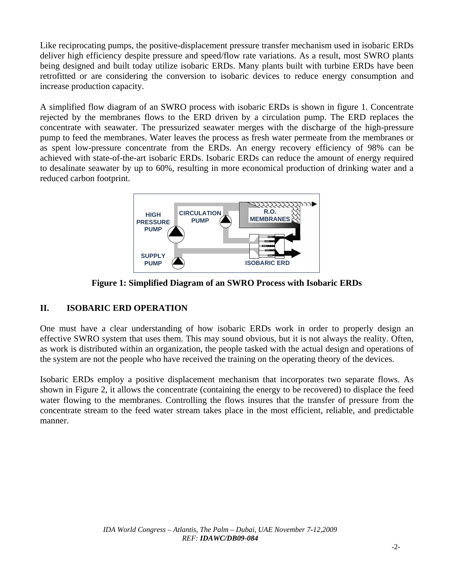Like reciprocating pumps, the positive-displacement pressure transfer mechanism used in isobaric ERDs deliver high efficiency despite pressure and speed/flow rate variations. As a result, most SWRO plants being designed and built today utilize isobaric ERDs. Many plants built with turbine ERDs have been retrofitted or are considering the conversion to isobaric devices to reduce energy consumption and increase production capacity.

A simplified flow diagram of an SWRO process with isobaric ERDs is shown in figure 1. Concentrate rejected by the membranes flows to the ERD driven by a circulation pump. The ERD replaces the concentrate with seawater. The pressurized seawater merges with the discharge of the high-pressure pump to feed the membranes. Water leaves the process as fresh water permeate from the membranes or as spent low-pressure concentrate from the ERDs. An energy recovery efficiency of 98% can be achieved with state-of-the-art isobaric ERDs. Isobaric ERDs can reduce the amount of energy required to desalinate seawater by up to 60%, resulting in more economical production of drinking water and a reduced carbon footprint.



**Figure 1: Simplified Diagram of an SWRO Process with Isobaric ERDs** 

#### **II. ISOBARIC ERD OPERATION**

One must have a clear understanding of how isobaric ERDs work in order to properly design an effective SWRO system that uses them. This may sound obvious, but it is not always the reality. Often, as work is distributed within an organization, the people tasked with the actual design and operations of the system are not the people who have received the training on the operating theory of the devices.

Isobaric ERDs employ a positive displacement mechanism that incorporates two separate flows. As shown in Figure 2, it allows the concentrate (containing the energy to be recovered) to displace the feed water flowing to the membranes. Controlling the flows insures that the transfer of pressure from the concentrate stream to the feed water stream takes place in the most efficient, reliable, and predictable manner.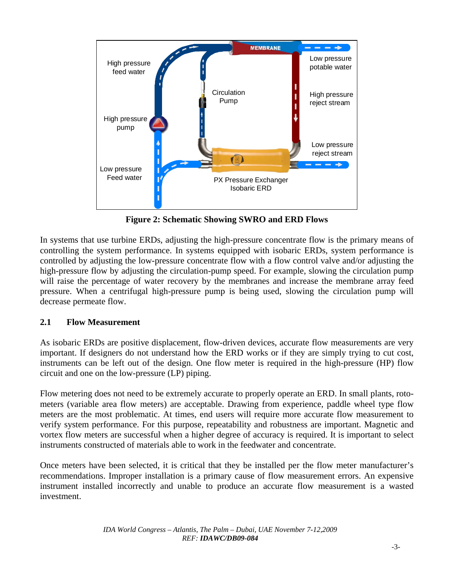

**Figure 2: Schematic Showing SWRO and ERD Flows** 

In systems that use turbine ERDs, adjusting the high-pressure concentrate flow is the primary means of controlling the system performance. In systems equipped with isobaric ERDs, system performance is controlled by adjusting the low-pressure concentrate flow with a flow control valve and/or adjusting the high-pressure flow by adjusting the circulation-pump speed. For example, slowing the circulation pump will raise the percentage of water recovery by the membranes and increase the membrane array feed pressure. When a centrifugal high-pressure pump is being used, slowing the circulation pump will decrease permeate flow.

# **2.1 Flow Measurement**

As isobaric ERDs are positive displacement, flow-driven devices, accurate flow measurements are very important. If designers do not understand how the ERD works or if they are simply trying to cut cost, instruments can be left out of the design. One flow meter is required in the high-pressure (HP) flow circuit and one on the low-pressure (LP) piping.

Flow metering does not need to be extremely accurate to properly operate an ERD. In small plants, rotometers (variable area flow meters) are acceptable. Drawing from experience, paddle wheel type flow meters are the most problematic. At times, end users will require more accurate flow measurement to verify system performance. For this purpose, repeatability and robustness are important. Magnetic and vortex flow meters are successful when a higher degree of accuracy is required. It is important to select instruments constructed of materials able to work in the feedwater and concentrate.

Once meters have been selected, it is critical that they be installed per the flow meter manufacturer's recommendations. Improper installation is a primary cause of flow measurement errors. An expensive instrument installed incorrectly and unable to produce an accurate flow measurement is a wasted investment.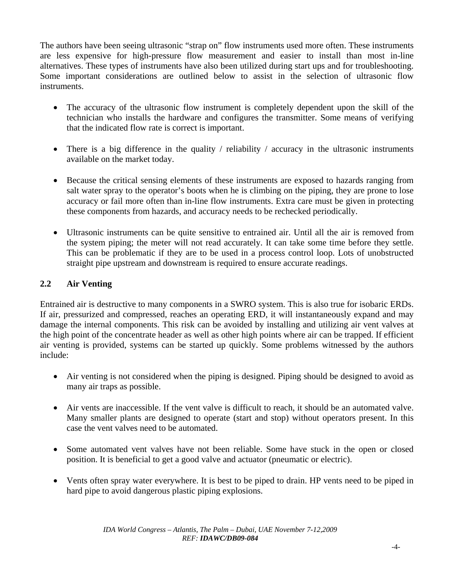The authors have been seeing ultrasonic "strap on" flow instruments used more often. These instruments are less expensive for high-pressure flow measurement and easier to install than most in-line alternatives. These types of instruments have also been utilized during start ups and for troubleshooting. Some important considerations are outlined below to assist in the selection of ultrasonic flow instruments.

- The accuracy of the ultrasonic flow instrument is completely dependent upon the skill of the technician who installs the hardware and configures the transmitter. Some means of verifying that the indicated flow rate is correct is important.
- There is a big difference in the quality / reliability / accuracy in the ultrasonic instruments available on the market today.
- Because the critical sensing elements of these instruments are exposed to hazards ranging from salt water spray to the operator's boots when he is climbing on the piping, they are prone to lose accuracy or fail more often than in-line flow instruments. Extra care must be given in protecting these components from hazards, and accuracy needs to be rechecked periodically.
- Ultrasonic instruments can be quite sensitive to entrained air. Until all the air is removed from the system piping; the meter will not read accurately. It can take some time before they settle. This can be problematic if they are to be used in a process control loop. Lots of unobstructed straight pipe upstream and downstream is required to ensure accurate readings.

# **2.2 Air Venting**

Entrained air is destructive to many components in a SWRO system. This is also true for isobaric ERDs. If air, pressurized and compressed, reaches an operating ERD, it will instantaneously expand and may damage the internal components. This risk can be avoided by installing and utilizing air vent valves at the high point of the concentrate header as well as other high points where air can be trapped. If efficient air venting is provided, systems can be started up quickly. Some problems witnessed by the authors include:

- Air venting is not considered when the piping is designed. Piping should be designed to avoid as many air traps as possible.
- Air vents are inaccessible. If the vent valve is difficult to reach, it should be an automated valve. Many smaller plants are designed to operate (start and stop) without operators present. In this case the vent valves need to be automated.
- Some automated vent valves have not been reliable. Some have stuck in the open or closed position. It is beneficial to get a good valve and actuator (pneumatic or electric).
- Vents often spray water everywhere. It is best to be piped to drain. HP vents need to be piped in hard pipe to avoid dangerous plastic piping explosions.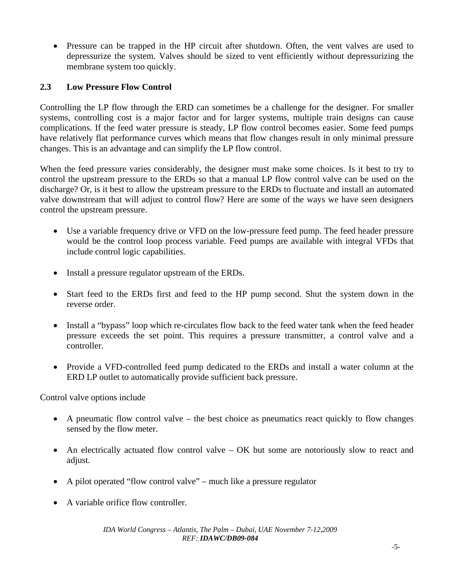• Pressure can be trapped in the HP circuit after shutdown. Often, the vent valves are used to depressurize the system. Valves should be sized to vent efficiently without depressurizing the membrane system too quickly.

# **2.3 Low Pressure Flow Control**

Controlling the LP flow through the ERD can sometimes be a challenge for the designer. For smaller systems, controlling cost is a major factor and for larger systems, multiple train designs can cause complications. If the feed water pressure is steady, LP flow control becomes easier. Some feed pumps have relatively flat performance curves which means that flow changes result in only minimal pressure changes. This is an advantage and can simplify the LP flow control.

When the feed pressure varies considerably, the designer must make some choices. Is it best to try to control the upstream pressure to the ERDs so that a manual LP flow control valve can be used on the discharge? Or, is it best to allow the upstream pressure to the ERDs to fluctuate and install an automated valve downstream that will adjust to control flow? Here are some of the ways we have seen designers control the upstream pressure.

- Use a variable frequency drive or VFD on the low-pressure feed pump. The feed header pressure would be the control loop process variable. Feed pumps are available with integral VFDs that include control logic capabilities.
- Install a pressure regulator upstream of the ERDs.
- Start feed to the ERDs first and feed to the HP pump second. Shut the system down in the reverse order.
- Install a "bypass" loop which re-circulates flow back to the feed water tank when the feed header pressure exceeds the set point. This requires a pressure transmitter, a control valve and a controller.
- Provide a VFD-controlled feed pump dedicated to the ERDs and install a water column at the ERD LP outlet to automatically provide sufficient back pressure.

Control valve options include

- A pneumatic flow control valve the best choice as pneumatics react quickly to flow changes sensed by the flow meter.
- An electrically actuated flow control valve OK but some are notoriously slow to react and adjust.
- A pilot operated "flow control valve" much like a pressure regulator
- A variable orifice flow controller.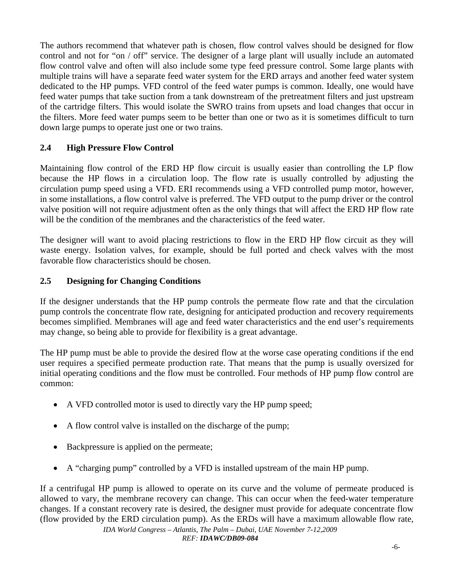The authors recommend that whatever path is chosen, flow control valves should be designed for flow control and not for "on / off" service. The designer of a large plant will usually include an automated flow control valve and often will also include some type feed pressure control. Some large plants with multiple trains will have a separate feed water system for the ERD arrays and another feed water system dedicated to the HP pumps. VFD control of the feed water pumps is common. Ideally, one would have feed water pumps that take suction from a tank downstream of the pretreatment filters and just upstream of the cartridge filters. This would isolate the SWRO trains from upsets and load changes that occur in the filters. More feed water pumps seem to be better than one or two as it is sometimes difficult to turn down large pumps to operate just one or two trains.

### **2.4 High Pressure Flow Control**

Maintaining flow control of the ERD HP flow circuit is usually easier than controlling the LP flow because the HP flows in a circulation loop. The flow rate is usually controlled by adjusting the circulation pump speed using a VFD. ERI recommends using a VFD controlled pump motor, however, in some installations, a flow control valve is preferred. The VFD output to the pump driver or the control valve position will not require adjustment often as the only things that will affect the ERD HP flow rate will be the condition of the membranes and the characteristics of the feed water.

The designer will want to avoid placing restrictions to flow in the ERD HP flow circuit as they will waste energy. Isolation valves, for example, should be full ported and check valves with the most favorable flow characteristics should be chosen.

#### **2.5 Designing for Changing Conditions**

If the designer understands that the HP pump controls the permeate flow rate and that the circulation pump controls the concentrate flow rate, designing for anticipated production and recovery requirements becomes simplified. Membranes will age and feed water characteristics and the end user's requirements may change, so being able to provide for flexibility is a great advantage.

The HP pump must be able to provide the desired flow at the worse case operating conditions if the end user requires a specified permeate production rate. That means that the pump is usually oversized for initial operating conditions and the flow must be controlled. Four methods of HP pump flow control are common:

- A VFD controlled motor is used to directly vary the HP pump speed;
- A flow control valve is installed on the discharge of the pump;
- Backpressure is applied on the permeate;
- A "charging pump" controlled by a VFD is installed upstream of the main HP pump.

If a centrifugal HP pump is allowed to operate on its curve and the volume of permeate produced is allowed to vary, the membrane recovery can change. This can occur when the feed-water temperature changes. If a constant recovery rate is desired, the designer must provide for adequate concentrate flow (flow provided by the ERD circulation pump). As the ERDs will have a maximum allowable flow rate,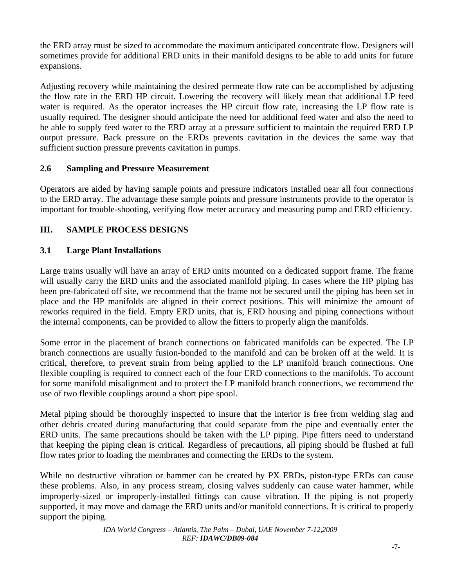the ERD array must be sized to accommodate the maximum anticipated concentrate flow. Designers will sometimes provide for additional ERD units in their manifold designs to be able to add units for future expansions.

Adjusting recovery while maintaining the desired permeate flow rate can be accomplished by adjusting the flow rate in the ERD HP circuit. Lowering the recovery will likely mean that additional LP feed water is required. As the operator increases the HP circuit flow rate, increasing the LP flow rate is usually required. The designer should anticipate the need for additional feed water and also the need to be able to supply feed water to the ERD array at a pressure sufficient to maintain the required ERD LP output pressure. Back pressure on the ERDs prevents cavitation in the devices the same way that sufficient suction pressure prevents cavitation in pumps.

### **2.6 Sampling and Pressure Measurement**

Operators are aided by having sample points and pressure indicators installed near all four connections to the ERD array. The advantage these sample points and pressure instruments provide to the operator is important for trouble-shooting, verifying flow meter accuracy and measuring pump and ERD efficiency.

# **III. SAMPLE PROCESS DESIGNS**

# **3.1 Large Plant Installations**

Large trains usually will have an array of ERD units mounted on a dedicated support frame. The frame will usually carry the ERD units and the associated manifold piping. In cases where the HP piping has been pre-fabricated off site, we recommend that the frame not be secured until the piping has been set in place and the HP manifolds are aligned in their correct positions. This will minimize the amount of reworks required in the field. Empty ERD units, that is, ERD housing and piping connections without the internal components, can be provided to allow the fitters to properly align the manifolds.

Some error in the placement of branch connections on fabricated manifolds can be expected. The LP branch connections are usually fusion-bonded to the manifold and can be broken off at the weld. It is critical, therefore, to prevent strain from being applied to the LP manifold branch connections. One flexible coupling is required to connect each of the four ERD connections to the manifolds. To account for some manifold misalignment and to protect the LP manifold branch connections, we recommend the use of two flexible couplings around a short pipe spool.

Metal piping should be thoroughly inspected to insure that the interior is free from welding slag and other debris created during manufacturing that could separate from the pipe and eventually enter the ERD units. The same precautions should be taken with the LP piping. Pipe fitters need to understand that keeping the piping clean is critical. Regardless of precautions, all piping should be flushed at full flow rates prior to loading the membranes and connecting the ERDs to the system.

While no destructive vibration or hammer can be created by PX ERDs, piston-type ERDs can cause these problems. Also, in any process stream, closing valves suddenly can cause water hammer, while improperly-sized or improperly-installed fittings can cause vibration. If the piping is not properly supported, it may move and damage the ERD units and/or manifold connections. It is critical to properly support the piping.